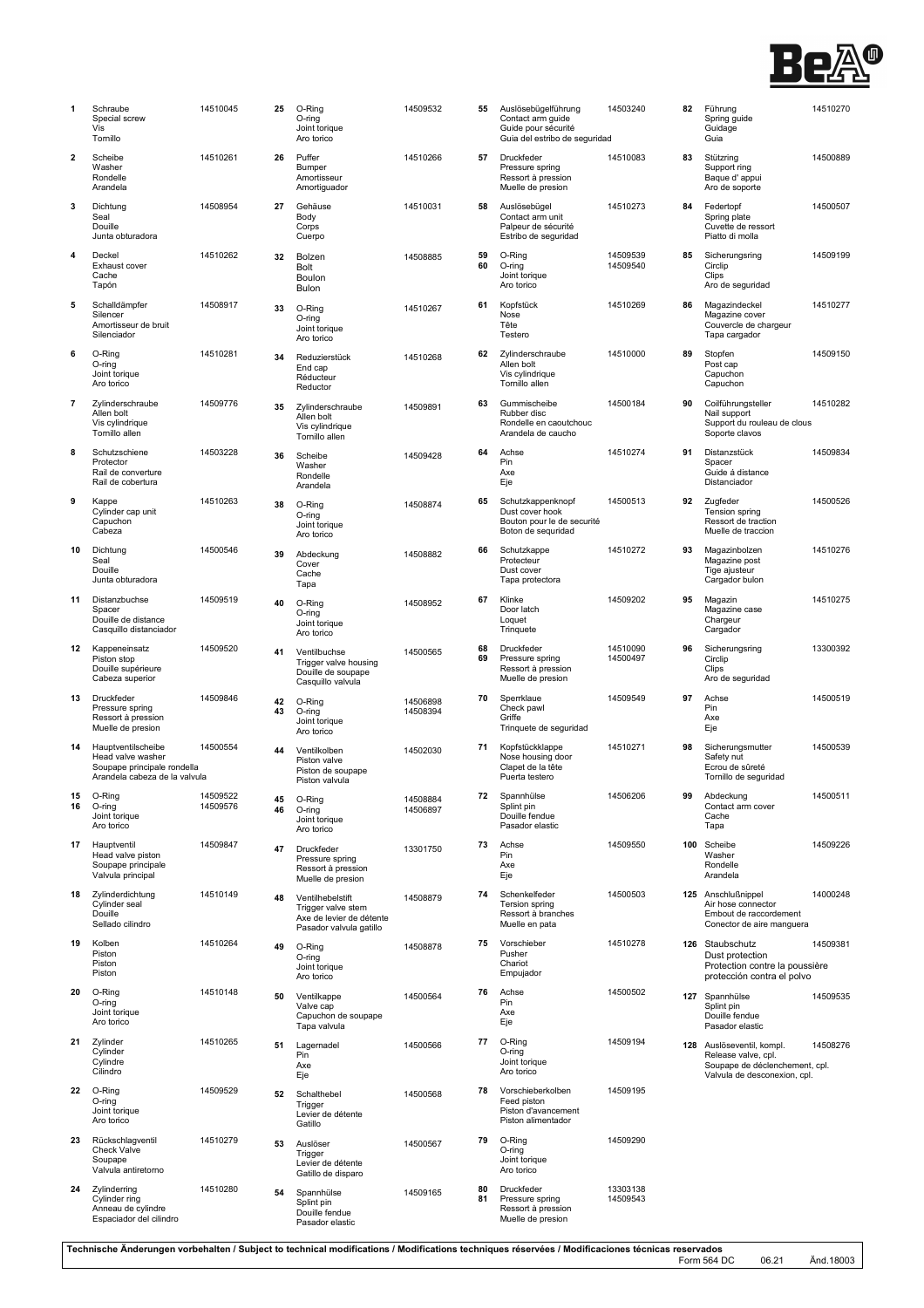

| 1        | Schraube<br>Special screw<br>Vis<br>Tornillo                                                            | 14510045             | 25       | O-Ring<br>O-ring<br>Joint torique<br>Aro torico                                               | 14509532             |
|----------|---------------------------------------------------------------------------------------------------------|----------------------|----------|-----------------------------------------------------------------------------------------------|----------------------|
| 2        | Scheibe<br>Washer<br>Rondelle<br>Arandela                                                               | 14510261             | 26       | Puffer<br>Bumper<br>Amortisseur<br>Amortiguador                                               | 14510266             |
| 3        | Dichtung<br>Seal<br>Douille<br>Junta obturadora                                                         | 14508954             | 27       | Gehäuse<br>Body<br>Corps<br>Cuerpo                                                            | 14510031             |
| 4        | Deckel<br>Exhaust cover<br>Cache<br>Tapón                                                               | 14510262             | 32       | Bolzen<br>Bolt<br>Boulon<br>Bulon                                                             | 14508885             |
| 5        | Schalldämpfer<br>Silencer<br>Amortisseur de bruit<br>Silenciador                                        | 14508917             | 33       | O-Ring<br>O-ring<br>Joint torique<br>Aro torico                                               | 14510267             |
| 6        | O-Ring<br>O-ring<br>Joint torique<br>Aro torico                                                         | 14510281             | 34       | Reduzierstück<br>End cap<br>Réducteur<br>Reductor                                             | 14510268             |
| 7        | Zylinderschraube<br>Allen bolt<br>Vis cylindrique<br>Tornillo allen                                     | 14509776             | 35       | Zylinderschraube<br>Allen bolt<br>Vis cylindrique<br>Tornillo allen                           | 14509891             |
| 8        | Schutzschiene<br>Protector<br>Rail de converture<br>Rail de cobertura                                   | 14503228             | 36       | Scheibe<br>Washer<br>Rondelle<br>Arandela                                                     | 14509428             |
| 9        | Kappe<br>Cylinder cap unit<br>Capuchon<br>Cabeza                                                        | 14510263             | 38       | O-Ring<br>O-ring<br>Joint torique<br>Aro torico                                               | 14508874             |
| 10       | Dichtung<br>Seal<br>Douille<br>Junta obturadora                                                         | 14500546             | 39       | Abdeckung<br>Cover<br>Cache<br>Tapa                                                           | 14508882             |
| 11       | Distanzbuchse<br>Spacer<br>Douille de distance<br>Casquillo distanciador                                | 14509519             | 40       | O-Ring<br>O-ring<br>Joint torique<br>Aro torico                                               | 14508952             |
| 12       | Kappeneinsatz<br>Piston stop<br>Douille supérieure<br>Cabeza superior                                   | 14509520             | 41       | Ventilbuchse<br>Trigger valve housing<br>Douille de soupape<br>Casquillo valvula              | 14500565             |
| 13       | <b>Druckfeder</b><br>Pressure spring<br>Ressort à pression<br>Muelle de presion                         | 14509846             | 42<br>43 | O-Ring<br>O-ring<br>Joint torique<br>Aro torico                                               | 14506898<br>14508394 |
| 14       | Hauptventilscheibe<br>Head valve washer<br>Soupape principale rondella<br>Arandela cabeza de la valvula | 14500554             | 44       | Ventilkolben<br>Piston valve<br>Piston de soupape<br>Piston valvula                           | 14502030             |
| 15<br>16 | O-Ring<br>O-ring<br>Joint torique<br>Aro torico                                                         | 14509522<br>14509576 | 45<br>46 | O-Ring<br>O-ring<br>Joint torique<br>Aro torico                                               | 14508884<br>14506897 |
| 17       | Hauptventil<br>Head valve piston<br>Soupape principale<br>Valvula principal                             | 14509847             | 47       | Druckfeder<br>Pressure spring<br>Ressort à pression<br>Muelle de presion                      | 13301750             |
| 18       | Zylinderdichtung<br>Cylinder seal<br>Douille<br>Sellado cilindro                                        | 14510149             | 48       | Ventilhebelstift<br>Trigger valve stem<br>Axe de levier de détente<br>Pasador valvula gatillo | 14508879             |
| 19       | Kolben<br>Piston<br>Piston<br>Piston                                                                    | 14510264             | 49       | O-Ring<br>O-ring<br>Joint torique<br>Aro torico                                               | 14508878             |
| 20       | O-Ring<br>O-ring<br>Joint torique<br>Aro torico                                                         | 14510148             | 50       | Ventilkappe<br>Valve cap<br>Capuchon de soupape<br>Tapa valvula                               | 14500564             |
| 21       | Zylinder<br>Cylinder<br>Cylindre<br>Cilindro                                                            | 14510265             | 51       | Lagernadel<br>Pin<br>Axe<br>Eje                                                               | 14500566             |
| 22       | O-Ring<br>O-ring<br>Joint torique<br>Aro torico                                                         | 14509529             | 52       | Schalthebel<br>Trigger<br>Levier de détente<br>Gatillo                                        | 14500568             |
| 23       | Rückschlagventil<br><b>Check Valve</b><br>Soupape<br>Valvula antiretorno                                | 14510279             | 53       | Auslöser<br>Trigger<br>Levier de détente<br>Gatillo de disparo                                | 14500567             |
| 24       | Zylinderring<br>Cylinder ring<br>Anneau de cylindre<br>Espaciador del cilindro                          | 14510280             | 54       | Spannhülse<br>Splint pin<br>Douille fendue<br>Pasador elastic                                 | 14509165             |

| 55       | Auslösebügelführung<br>Contact arm guide<br>Guide pour sécurité<br>Guia del estribo de seguridad | 14503240             | 82  | Führung<br>Spring guid<br>Guidage<br>Guia                |
|----------|--------------------------------------------------------------------------------------------------|----------------------|-----|----------------------------------------------------------|
| 57       | Druckfeder<br>Pressure spring<br>Ressort à pression<br>Muelle de presion                         | 14510083             | 83  | Stützring<br>Support rin<br>Baque d'a<br>Aro de sop      |
| 58       | Auslösebügel<br>Contact arm unit<br>Palpeur de sécurité<br>Estribo de seguridad                  | 14510273             | 84  | Federtopf<br>Spring plat<br>Cuvette de<br>Piatto di m    |
| 59<br>60 | O-Ring<br>O-ring<br>Joint torique<br>Aro torico                                                  | 14509539<br>14509540 | 85  | Sicherungs<br>Circlip<br>Clips<br>Aro de seg             |
| 61       | Kopfstück<br>Nose<br>Tête<br>Testero                                                             | 14510269             | 86  | Magazinde<br>Magazine o<br>Couvercle<br>Tapa carga       |
| 62       | Zylinderschraube<br>Allen bolt<br>Vis cylindrique<br>Tornillo allen                              | 14510000             | 89  | Stopfen<br>Post cap<br>Capuchon<br>Capuchon              |
| 63       | Gummischeibe<br>Rubber disc<br>Rondelle en caoutchouc<br>Arandela de caucho                      | 14500184             | 90  | Coilführung<br>Nail suppo<br>Support du<br>Soporte cla   |
| 64       | Achse<br>Pin<br>Axe<br>Eje                                                                       | 14510274             | 91  | Distanzstü<br>Spacer<br>Guide á dis<br><b>Distanciad</b> |
| 65       | Schutzkappenknopf<br>Dust cover hook<br>Bouton pour le de securité<br>Boton de sequridad         | 14500513             | 92  | Zugfeder<br>Tension sp<br>Ressort de<br>Muelle de t      |
| 66       | Schutzkappe<br>Protecteur<br>Dust cover<br>Tapa protectora                                       | 14510272             | 93  | Magazinbo<br>Magazine p<br>Tige ajuste<br>Cargador b     |
| 67       | Klinke<br>Door latch<br>Loquet<br>Trinquete                                                      | 14509202             | 95  | Magazin<br>Magazine o<br>Chargeur<br>Cargador            |
| 68<br>69 | Druckfeder<br>Pressure spring<br>Ressort à pression<br>Muelle de presion                         | 14510090<br>14500497 | 96  | Sicherungs<br>Circlip<br>Clips<br>Aro de seg             |
| 70       | Sperrklaue<br>Check pawl<br>Griffe<br>Trinquete de seguridad                                     | 14509549             | 97  | Achse<br>Pin<br>Axe<br>Eje                               |
| 71       | Kopfstückklappe<br>Nose housing door<br>Clapet de la tête<br>Puerta testero                      | 14510271             | 98  | Sicherungs<br>Safety nut<br>Ecrou de s<br>Tornillo de    |
| 72       | Spannhülse<br>Splint pin<br>Douille fendue<br>Pasador elastic                                    | 14506206             | 99  | Abdeckung<br>Contact an<br>Cache<br>Tapa                 |
| 73       | Achse<br>Pin<br>Axe<br>Eje                                                                       | 14509550             | 100 | Scheibe<br>Washer<br>Rondelle<br>Arandela                |
| 74       | Schenkelfeder<br>Tersion spring<br>Ressort à branches<br>Muelle en pata                          | 14500503             | 125 | Anschlußn<br>Air hose co<br>Embout de<br>Conector d      |
| 75       | Vorschieber<br>Pusher<br>Chariot<br>Empujador                                                    | 14510278             |     | 126 Staubschu<br>Dust prote<br>Protection<br>protección  |
| 76       | Achse<br>Pin<br>Axe<br>Eje                                                                       | 14500502             | 127 | Spannhüls<br>Splint pin<br>Douille fen<br>Pasador el     |
| 77       | O-Ring<br>O-ring<br>Joint torique<br>Aro torico                                                  | 14509194             | 128 | Auslösever<br>Release va<br>Soupape d<br>Valvula de      |
| 78       | Vorschieberkolben<br>Feed piston<br>Piston d'avancement<br>Piston alimentador                    | 14509195             |     |                                                          |
| 79       | O-Ring<br>O-ring<br>Joint torique<br>Aro torico                                                  | 14509290             |     |                                                          |
| 80<br>81 | Druckfeder<br>Pressure spring<br>Ressort à pression<br>Muelle de presion                         | 13303138<br>14509543 |     |                                                          |

| 82  | Führung<br>Spring guide<br>Guidage<br>Guia                                                     | 14510270 |
|-----|------------------------------------------------------------------------------------------------|----------|
| 83  | Stützring<br>Support ring<br>Baque d'appui<br>Aro de soporte                                   | 14500889 |
| 84  | Federtopf<br>Spring plate<br>Cuvette de ressort<br>Piatto di molla                             | 14500507 |
| 85  | Sicherungsring<br>Circlip<br>Clips<br>Aro de seguridad                                         | 14509199 |
| 86  | Magazindeckel<br>Magazine cover<br>Couvercle de chargeur<br>Tapa cargador                      | 14510277 |
| 89  | Stopfen<br>Post cap<br>Capuchon<br>Capuchon                                                    | 14509150 |
| 90  | Coilführungsteller<br>Nail support<br>Support du rouleau de clous<br>Soporte clavos            | 14510282 |
| 91  | Distanzstück<br>Spacer<br>Guide á distance<br>Distanciador                                     | 14509834 |
| 92  | Zugfeder<br>Tension spring<br>Ressort de traction<br>Muelle de traccion                        | 14500526 |
| 93  | Magazinbolzen<br>Magazine post<br>Tige ajusteur<br>Cargador bulon                              | 14510276 |
| 95  | Magazin<br>Magazine case<br>Chargeur<br>Cargador                                               | 14510275 |
| 96  | Sicherungsring<br>Circlip<br>Clips<br>Aro de seguridad                                         | 13300392 |
| 97  | Achse<br>Pin<br>Axe<br>Eje                                                                     | 14500519 |
| 98  | Sicherungsmutter<br>Safety nut<br>Ecrou de sûreté<br>Tornillo de seguridad                     | 14500539 |
| 99  | Abdeckung<br>Contact arm cover<br>Cache<br>Тара                                                | 14500511 |
| 100 | Scheibe<br>Washer<br>Rondelle<br>Arandela                                                      | 14509226 |
| 125 | Anschlußnippel<br>Air hose connector<br>Embout de raccordement<br>Conector de aire manguera    | 14000248 |
| 126 | Staubschutz<br>Dust protection<br>Protection contre la poussière<br>protección contra el polvo | 14509381 |
| 127 | Spannhülse<br>Splint pin<br>Douille fendue<br>Pasador elastic                                  | 14509535 |
| 100 | انغمميرممظامير                                                                                 | 0027c    |

**128** Auslöseventil, kompl. 14508276<br>
Release valve, cpl.<br>
Soupape de déclenchement, cpl.<br>
Valvula de desconexion, cpl.